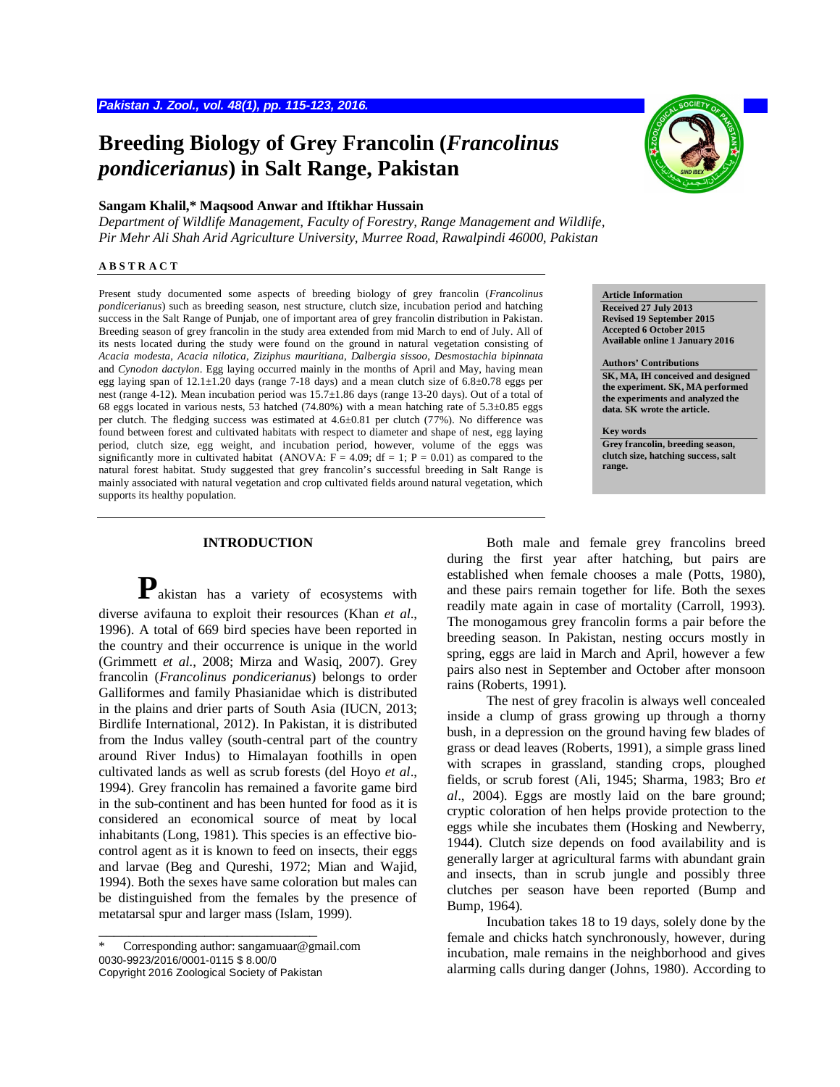# **Breeding Biology of Grey Francolin (***Francolinus pondicerianus***) in Salt Range, Pakistan**

## **Sangam Khalil,\* Maqsood Anwar and Iftikhar Hussain**

*Department of Wildlife Management, Faculty of Forestry, Range Management and Wildlife, Pir Mehr Ali Shah Arid Agriculture University, Murree Road, Rawalpindi 46000, Pakistan*

#### **A B S T R A C T**

Present study documented some aspects of breeding biology of grey francolin (*Francolinus pondicerianus*) such as breeding season, nest structure, clutch size, incubation period and hatching success in the Salt Range of Punjab, one of important area of grey francolin distribution in Pakistan. Breeding season of grey francolin in the study area extended from mid March to end of July. All of its nests located during the study were found on the ground in natural vegetation consisting of *Acacia modesta*, *Acacia nilotica*, *Ziziphus mauritiana*, *Dalbergia sissoo*, *Desmostachia bipinnata*  and *Cynodon dactylon*. Egg laying occurred mainly in the months of April and May, having mean egg laying span of  $12.1 \pm 1.20$  days (range 7-18 days) and a mean clutch size of  $6.8 \pm 0.78$  eggs per nest (range 4-12). Mean incubation period was 15.7±1.86 days (range 13-20 days). Out of a total of 68 eggs located in various nests, 53 hatched (74.80%) with a mean hatching rate of 5.3±0.85 eggs per clutch. The fledging success was estimated at 4.6±0.81 per clutch (77%). No difference was found between forest and cultivated habitats with respect to diameter and shape of nest, egg laying period, clutch size, egg weight, and incubation period, however, volume of the eggs was significantly more in cultivated habitat (ANOVA:  $F = 4.09$ ; df = 1; P = 0.01) as compared to the natural forest habitat. Study suggested that grey francolin's successful breeding in Salt Range is mainly associated with natural vegetation and crop cultivated fields around natural vegetation, which supports its healthy population.

## **INTRODUCTION**

**P**akistan has a variety of ecosystems with diverse avifauna to exploit their resources (Khan *et al*., 1996). A total of 669 bird species have been reported in the country and their occurrence is unique in the world (Grimmett *et al*., 2008; Mirza and Wasiq, 2007). Grey francolin (*Francolinus pondicerianus*) belongs to order Galliformes and family Phasianidae which is distributed in the plains and drier parts of South Asia (IUCN, 2013; Birdlife International, 2012). In Pakistan, it is distributed from the Indus valley (south-central part of the country around River Indus) to Himalayan foothills in open cultivated lands as well as scrub forests (del Hoyo *et al*., 1994). Grey francolin has remained a favorite game bird in the sub-continent and has been hunted for food as it is considered an economical source of meat by local inhabitants (Long, 1981). This species is an effective biocontrol agent as it is known to feed on insects, their eggs and larvae (Beg and Qureshi, 1972; Mian and Wajid, 1994). Both the sexes have same coloration but males can be distinguished from the females by the presence of metatarsal spur and larger mass (Islam, 1999).

\_\_\_\_\_\_\_\_\_\_\_\_\_\_\_\_\_\_\_\_\_\_\_\_\_\_\_\_\_



**Article Information**

**Received 27 July 2013 Revised 19 September 2015 Accepted 6 October 2015 Available online 1 January 2016**

## **Authors' Contributions**

**SK, MA, IH conceived and designed the experiment. SK, MA performed the experiments and analyzed the data. SK wrote the article.**

#### **Key words**

**Grey francolin, breeding season, clutch size, hatching success, salt range.**

Both male and female grey francolins breed during the first year after hatching, but pairs are established when female chooses a male (Potts, 1980), and these pairs remain together for life. Both the sexes readily mate again in case of mortality (Carroll, 1993). The monogamous grey francolin forms a pair before the breeding season. In Pakistan, nesting occurs mostly in spring, eggs are laid in March and April, however a few pairs also nest in September and October after monsoon rains (Roberts, 1991).

The nest of grey fracolin is always well concealed inside a clump of grass growing up through a thorny bush, in a depression on the ground having few blades of grass or dead leaves (Roberts, 1991), a simple grass lined with scrapes in grassland, standing crops, ploughed fields, or scrub forest (Ali, 1945; Sharma, 1983; Bro *et al*., 2004). Eggs are mostly laid on the bare ground; cryptic coloration of hen helps provide protection to the eggs while she incubates them (Hosking and Newberry, 1944). Clutch size depends on food availability and is generally larger at agricultural farms with abundant grain and insects, than in scrub jungle and possibly three clutches per season have been reported (Bump and Bump, 1964).

Incubation takes 18 to 19 days, solely done by the female and chicks hatch synchronously, however, during incubation, male remains in the neighborhood and gives alarming calls during danger (Johns, 1980). According to

Corresponding author: sangamuaar@gmail.com 0030-9923/2016/0001-0115 \$ 8.00/0 Copyright 2016 Zoological Society of Pakistan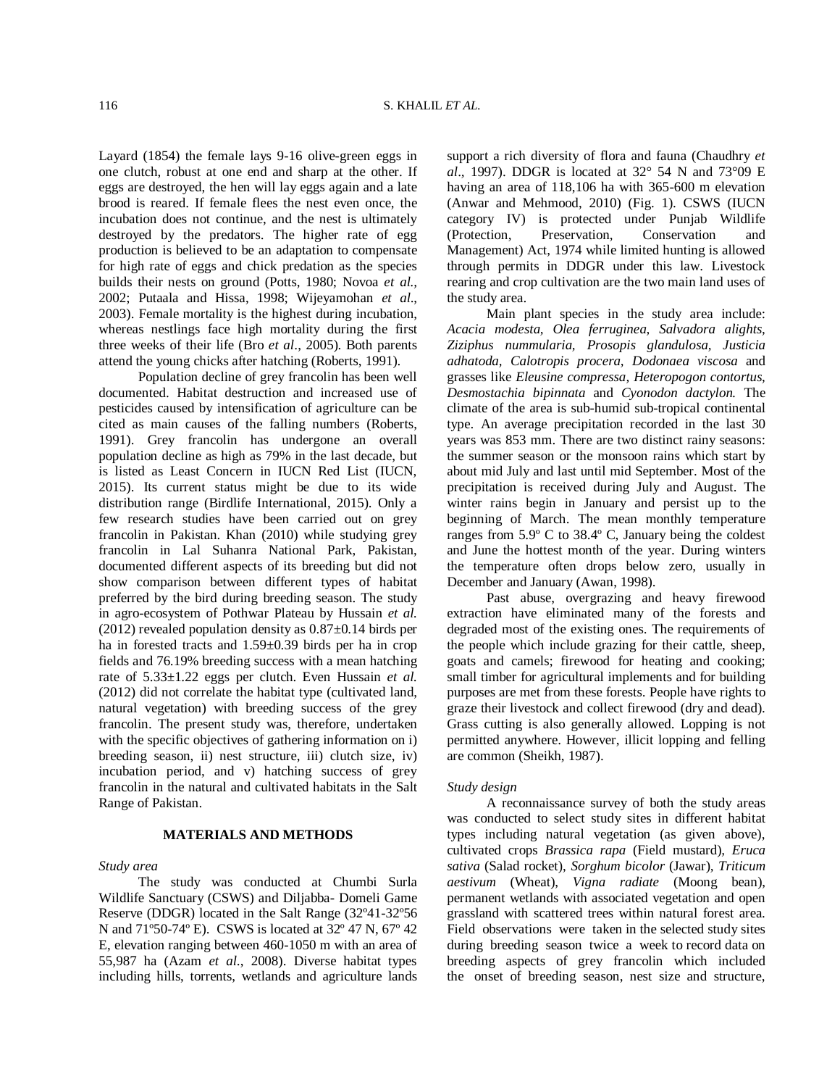Layard (1854) the female lays 9-16 olive-green eggs in one clutch, robust at one end and sharp at the other. If eggs are destroyed, the hen will lay eggs again and a late brood is reared. If female flees the nest even once, the incubation does not continue, and the nest is ultimately destroyed by the predators. The higher rate of egg production is believed to be an adaptation to compensate for high rate of eggs and chick predation as the species builds their nests on ground (Potts, 1980; Novoa *et al.,* 2002; Putaala and Hissa, 1998; Wijeyamohan *et al*., 2003). Female mortality is the highest during incubation, whereas nestlings face high mortality during the first three weeks of their life (Bro *et al*., 2005). Both parents attend the young chicks after hatching (Roberts, 1991).

Population decline of grey francolin has been well documented. Habitat destruction and increased use of pesticides caused by intensification of agriculture can be cited as main causes of the falling numbers (Roberts, 1991). Grey francolin has undergone an overall population decline as high as 79% in the last decade, but is listed as Least Concern in IUCN Red List (IUCN, 2015). Its current status might be due to its wide distribution range (Birdlife International, 2015). Only a few research studies have been carried out on grey francolin in Pakistan. Khan (2010) while studying grey francolin in Lal Suhanra National Park, Pakistan, documented different aspects of its breeding but did not show comparison between different types of habitat preferred by the bird during breeding season. The study in agro-ecosystem of Pothwar Plateau by Hussain *et al.* (2012) revealed population density as  $0.87\pm0.14$  birds per ha in forested tracts and 1.59±0.39 birds per ha in crop fields and 76.19% breeding success with a mean hatching rate of 5.33±1.22 eggs per clutch. Even Hussain *et al.*  (2012) did not correlate the habitat type (cultivated land, natural vegetation) with breeding success of the grey francolin. The present study was, therefore, undertaken with the specific objectives of gathering information on i) breeding season, ii) nest structure, iii) clutch size, iv) incubation period, and v) hatching success of grey francolin in the natural and cultivated habitats in the Salt Range of Pakistan.

## **MATERIALS AND METHODS**

### *Study area*

The study was conducted at Chumbi Surla Wildlife Sanctuary (CSWS) and Diljabba- Domeli Game Reserve (DDGR) located in the Salt Range (32º41-32º56 N and 71º50-74º E). CSWS is located at 32º 47 N, 67º 42 E, elevation ranging between 460-1050 m with an area of 55,987 ha (Azam *et al*., 2008). Diverse habitat types including hills, torrents, wetlands and agriculture lands

support a rich diversity of flora and fauna (Chaudhry *et al*.*,* 1997). DDGR is located at 32° 54 N and 73°09 E having an area of 118,106 ha with 365-600 m elevation (Anwar and Mehmood, 2010) (Fig. 1). CSWS (IUCN category IV) is protected under Punjab Wildlife (Protection, Preservation, Conservation and Management) Act, 1974 while limited hunting is allowed through permits in DDGR under this law. Livestock rearing and crop cultivation are the two main land uses of the study area.

Main plant species in the study area include: *Acacia modesta, Olea ferruginea, Salvadora alights, Ziziphus nummularia, Prosopis glandulosa, Justicia adhatoda, Calotropis procera, Dodonaea viscosa* and grasses like *Eleusine compressa, Heteropogon contortus, Desmostachia bipinnata* and *Cyonodon dactylon.* The climate of the area is sub-humid sub-tropical continental type. An average precipitation recorded in the last 30 years was 853 mm. There are two distinct rainy seasons: the summer season or the monsoon rains which start by about mid July and last until mid September. Most of the precipitation is received during July and August. The winter rains begin in January and persist up to the beginning of March. The mean monthly temperature ranges from 5.9º C to 38.4º C, January being the coldest and June the hottest month of the year. During winters the temperature often drops below zero, usually in December and January (Awan, 1998).

Past abuse, overgrazing and heavy firewood extraction have eliminated many of the forests and degraded most of the existing ones. The requirements of the people which include grazing for their cattle, sheep, goats and camels; firewood for heating and cooking; small timber for agricultural implements and for building purposes are met from these forests. People have rights to graze their livestock and collect firewood (dry and dead). Grass cutting is also generally allowed. Lopping is not permitted anywhere. However, illicit lopping and felling are common (Sheikh, 1987).

#### *Study design*

A reconnaissance survey of both the study areas was conducted to select study sites in different habitat types including natural vegetation (as given above), cultivated crops *Brassica rapa* (Field mustard)*, Eruca sativa* (Salad rocket), *Sorghum bicolor* (Jawar)*, Triticum aestivum* (Wheat), *Vigna radiate* (Moong bean), permanent wetlands with associated vegetation and open grassland with scattered trees within natural forest area. Field observations were taken in the selected study sites during breeding season twice a week to record data on breeding aspects of grey francolin which included the onset of breeding season, nest size and structure,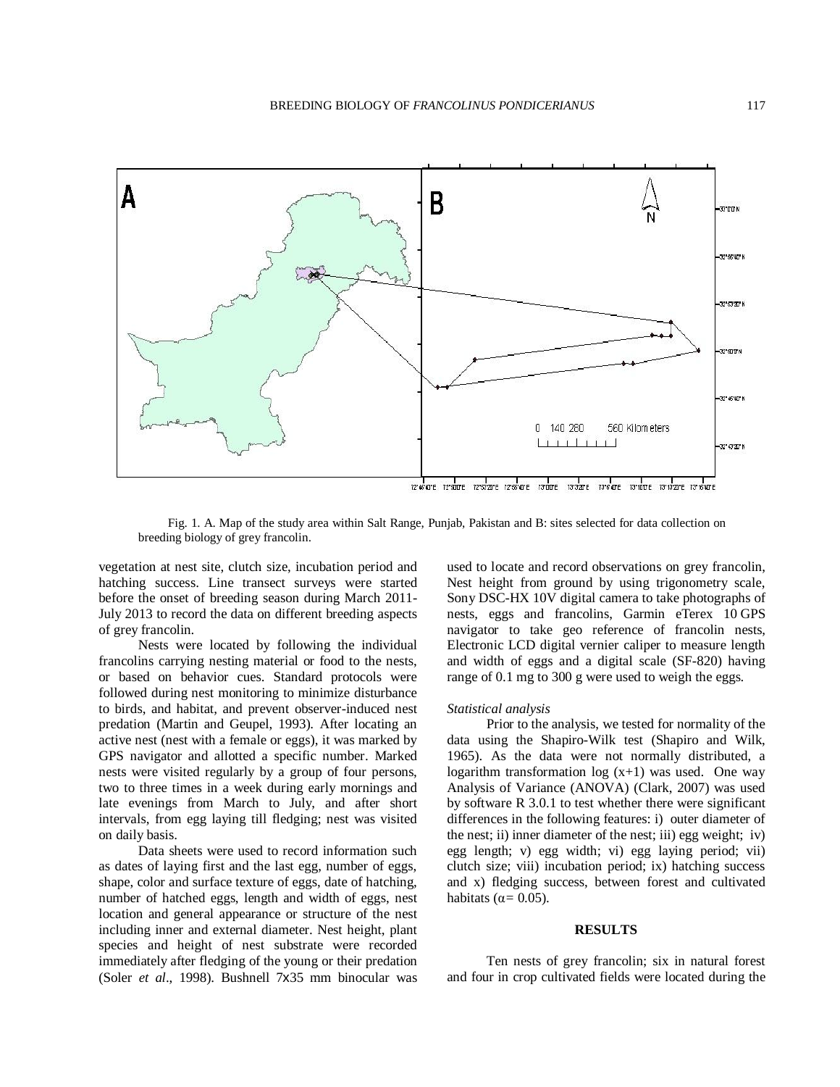

Fig. 1. A. Map of the study area within Salt Range, Punjab, Pakistan and B: sites selected for data collection on breeding biology of grey francolin.

vegetation at nest site, clutch size, incubation period and hatching success. Line transect surveys were started before the onset of breeding season during March 2011- July 2013 to record the data on different breeding aspects of grey francolin.

Nests were located by following the individual francolins carrying nesting material or food to the nests, or based on behavior cues. Standard protocols were followed during nest monitoring to minimize disturbance to birds, and habitat, and prevent observer-induced nest predation (Martin and Geupel, 1993). After locating an active nest (nest with a female or eggs), it was marked by GPS navigator and allotted a specific number. Marked nests were visited regularly by a group of four persons, two to three times in a week during early mornings and late evenings from March to July, and after short intervals, from egg laying till fledging; nest was visited on daily basis.

Data sheets were used to record information such as dates of laying first and the last egg, number of eggs, shape, color and surface texture of eggs, date of hatching, number of hatched eggs, length and width of eggs, nest location and general appearance or structure of the nest including inner and external diameter. Nest height, plant species and height of nest substrate were recorded immediately after fledging of the young or their predation (Soler *et al*., 1998). Bushnell 7x35 mm binocular was used to locate and record observations on grey francolin, Nest height from ground by using trigonometry scale, Sony DSC-HX 10V digital camera to take photographs of nests, eggs and francolins, Garmin eTerex 10 GPS navigator to take geo reference of francolin nests, Electronic LCD digital vernier caliper to measure length and width of eggs and a digital scale (SF-820) having range of 0.1 mg to 300 g were used to weigh the eggs.

#### *Statistical analysis*

Prior to the analysis, we tested for normality of the data using the Shapiro-Wilk test (Shapiro and Wilk, 1965). As the data were not normally distributed, a logarithm transformation  $log(x+1)$  was used. One way Analysis of Variance (ANOVA) (Clark, 2007) was used by software R 3.0.1 to test whether there were significant differences in the following features: i) outer diameter of the nest; ii) inner diameter of the nest; iii) egg weight; iv) egg length; v) egg width; vi) egg laying period; vii) clutch size; viii) incubation period; ix) hatching success and x) fledging success, between forest and cultivated habitats ( $\alpha$  = 0.05).

### **RESULTS**

Ten nests of grey francolin; six in natural forest and four in crop cultivated fields were located during the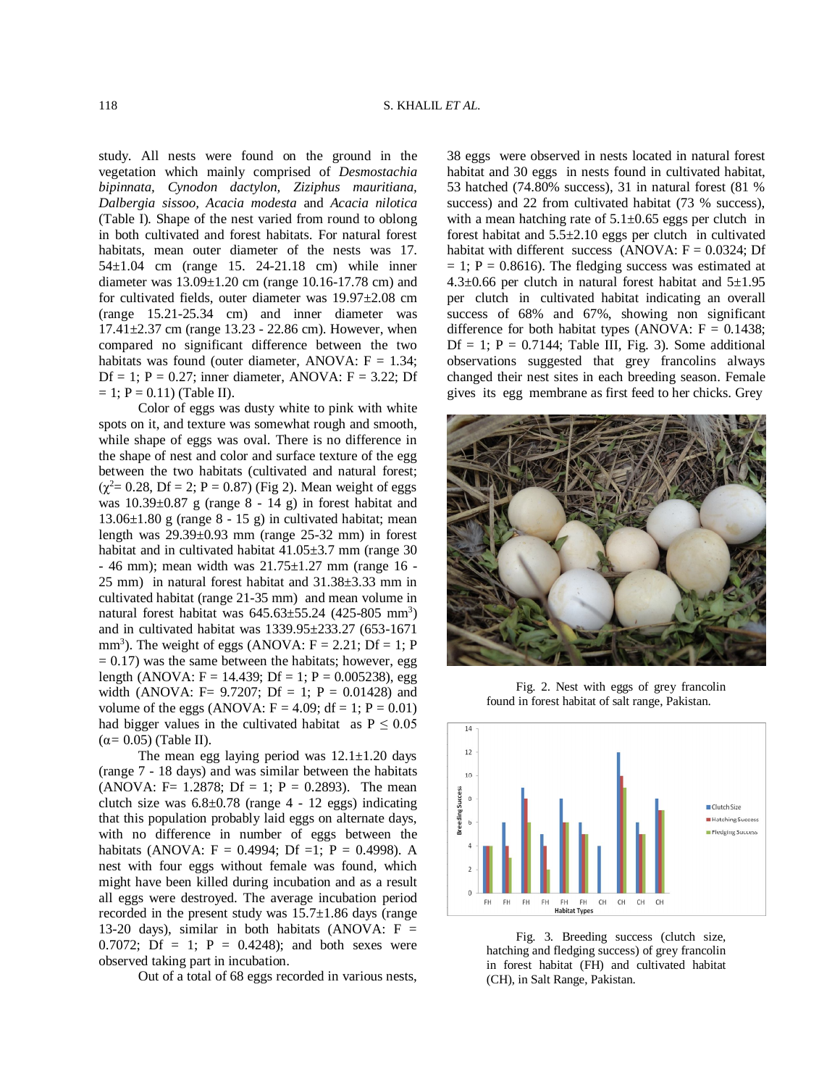study. All nests were found on the ground in the vegetation which mainly comprised of *Desmostachia bipinnata, Cynodon dactylon, Ziziphus mauritiana, Dalbergia sissoo, Acacia modesta* and *Acacia nilotica* (Table I)*.* Shape of the nest varied from round to oblong in both cultivated and forest habitats. For natural forest habitats, mean outer diameter of the nests was 17. 54±1.04 cm (range 15. 24-21.18 cm) while inner diameter was  $13.09 \pm 1.20$  cm (range 10.16-17.78 cm) and for cultivated fields, outer diameter was 19.97±2.08 cm (range 15.21-25.34 cm) and inner diameter was 17.41±2.37 cm (range 13.23 - 22.86 cm). However, when compared no significant difference between the two habitats was found (outer diameter, ANOVA:  $F = 1.34$ ; Df = 1;  $P = 0.27$ ; inner diameter, ANOVA:  $F = 3.22$ ; Df  $= 1$ ; P = 0.11) (Table II).

Color of eggs was dusty white to pink with white spots on it, and texture was somewhat rough and smooth, while shape of eggs was oval. There is no difference in the shape of nest and color and surface texture of the egg between the two habitats (cultivated and natural forest;  $(\chi^2 = 0.28, Df = 2; P = 0.87)$  (Fig 2). Mean weight of eggs was 10.39±0.87 g (range 8 - 14 g) in forest habitat and 13.06±1.80 g (range 8 - 15 g) in cultivated habitat; mean length was 29.39±0.93 mm (range 25-32 mm) in forest habitat and in cultivated habitat 41.05 $\pm$ 3.7 mm (range 30 - 46 mm); mean width was 21.75±1.27 mm (range 16 - 25 mm) in natural forest habitat and 31.38±3.33 mm in cultivated habitat (range 21-35 mm) and mean volume in natural forest habitat was  $645.63 \pm 55.24$  (425-805 mm<sup>3</sup>) and in cultivated habitat was 1339.95±233.27 (653-1671 mm<sup>3</sup>). The weight of eggs (ANOVA:  $F = 2.21$ ; Df = 1; P  $= 0.17$ ) was the same between the habitats; however, egg length (ANOVA:  $F = 14.439$ ;  $Df = 1$ ;  $P = 0.005238$ ), egg width (ANOVA: F= 9.7207; Df = 1; P = 0.01428) and volume of the eggs (ANOVA:  $F = 4.09$ ; df = 1;  $P = 0.01$ ) had bigger values in the cultivated habitat as  $P \le 0.05$ (α*=* 0.05) (Table II).

The mean egg laying period was  $12.1 \pm 1.20$  days (range 7 - 18 days) and was similar between the habitats (ANOVA: F= 1.2878; Df = 1; P = 0.2893). The mean clutch size was  $6.8 \pm 0.78$  (range 4 - 12 eggs) indicating that this population probably laid eggs on alternate days, with no difference in number of eggs between the habitats (ANOVA:  $F = 0.4994$ ; Df =1; P = 0.4998). A nest with four eggs without female was found, which might have been killed during incubation and as a result all eggs were destroyed. The average incubation period recorded in the present study was  $15.7\pm1.86$  days (range 13-20 days), similar in both habitats (ANOVA:  $F =$ 0.7072; Df = 1; P = 0.4248); and both sexes were observed taking part in incubation.

Out of a total of 68 eggs recorded in various nests,

38 eggs were observed in nests located in natural forest habitat and 30 eggs in nests found in cultivated habitat, 53 hatched (74.80% success), 31 in natural forest (81 % success) and 22 from cultivated habitat (73 % success), with a mean hatching rate of  $5.1\pm0.65$  eggs per clutch in forest habitat and  $5.5\pm2.10$  eggs per clutch in cultivated habitat with different success (ANOVA:  $F = 0.0324$ ; Df  $= 1$ ; P = 0.8616). The fledging success was estimated at  $4.3\pm0.66$  per clutch in natural forest habitat and  $5\pm1.95$ per clutch in cultivated habitat indicating an overall success of 68% and 67%, showing non significant difference for both habitat types (ANOVA:  $F = 0.1438$ ; Df = 1;  $P = 0.7144$ ; Table III, Fig. 3). Some additional observations suggested that grey francolins always changed their nest sites in each breeding season. Female gives its egg membrane as first feed to her chicks. Grey



Fig. 2. Nest with eggs of grey francolin found in forest habitat of salt range, Pakistan.



Fig. 3. Breeding success (clutch size, hatching and fledging success) of grey francolin in forest habitat (FH) and cultivated habitat (CH), in Salt Range, Pakistan.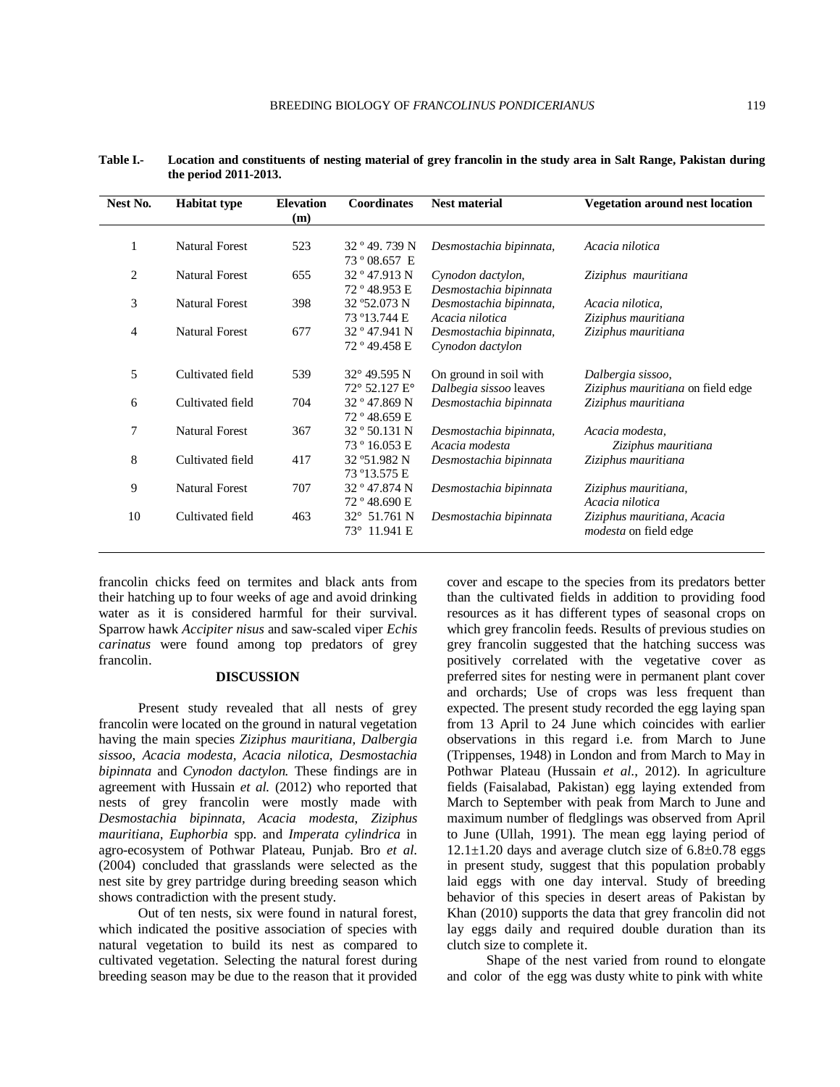| Nest No.       | <b>Habitat type</b>   | <b>Elevation</b><br>(m) | Coordinates                                              | <b>Nest material</b>                             | <b>Vegetation around nest location</b>                      |
|----------------|-----------------------|-------------------------|----------------------------------------------------------|--------------------------------------------------|-------------------------------------------------------------|
| 1              | <b>Natural Forest</b> | 523                     | 32°49.739 N<br>73 ° 08.657 E                             | Desmostachia bipinnata,                          | Acacia nilotica                                             |
| 2              | <b>Natural Forest</b> | 655                     | 32° 47.913 N<br>72 ° 48.953 E                            | Cynodon dactylon,<br>Desmostachia bipinnata      | Ziziphus mauritiana                                         |
| 3              | <b>Natural Forest</b> | 398                     | 32 ° 52.073 N<br>73 ° 13.744 E                           | Desmostachia bipinnata,<br>Acacia nilotica       | Acacia nilotica,<br>Ziziphus mauritiana                     |
| $\overline{4}$ | <b>Natural Forest</b> | 677                     | 32° 47.941 N<br>72 ° 49.458 E                            | Desmostachia bipinnata,<br>Cynodon dactylon      | Ziziphus mauritiana                                         |
| 5              | Cultivated field      | 539                     | $32^{\circ}$ 49.595 N<br>$72^{\circ}$ 52.127 $E^{\circ}$ | On ground in soil with<br>Dalbegia sissoo leaves | Dalbergia sissoo,<br>Ziziphus mauritiana on field edge      |
| 6              | Cultivated field      | 704                     | 32° 47.869 N<br>72° 48.659 E                             | Desmostachia bipinnata                           | Ziziphus mauritiana                                         |
| $\tau$         | <b>Natural Forest</b> | 367                     | 32 ° 50.131 N<br>73 ° 16.053 E                           | Desmostachia bipinnata,<br>Acacia modesta        | Acacia modesta,<br>Ziziphus mauritiana                      |
| 8              | Cultivated field      | 417                     | 32 ° 51.982 N<br>73 ° 13.575 E                           | Desmostachia bipinnata                           | Ziziphus mauritiana                                         |
| 9              | <b>Natural Forest</b> | 707                     | 32 ° 47.874 N<br>72 ° 48.690 E                           | Desmostachia bipinnata                           | Ziziphus mauritiana,<br>Acacia nilotica                     |
| 10             | Cultivated field      | 463                     | 32° 51.761 N<br>73° 11.941 E                             | Desmostachia bipinnata                           | Ziziphus mauritiana, Acacia<br><i>modesta</i> on field edge |

**Table I.- Location and constituents of nesting material of grey francolin in the study area in Salt Range, Pakistan during the period 2011-2013.**

francolin chicks feed on termites and black ants from their hatching up to four weeks of age and avoid drinking water as it is considered harmful for their survival. Sparrow hawk *Accipiter nisus* and saw-scaled viper *Echis carinatus* were found among top predators of grey francolin.

## **DISCUSSION**

Present study revealed that all nests of grey francolin were located on the ground in natural vegetation having the main species *Ziziphus mauritiana, Dalbergia sissoo*, *Acacia modesta, Acacia nilotica, Desmostachia bipinnata* and *Cynodon dactylon.* These findings are in agreement with Hussain *et al.* (2012) who reported that nests of grey francolin were mostly made with *Desmostachia bipinnata, Acacia modesta*, *Ziziphus mauritiana, Euphorbia* spp. and *Imperata cylindrica* in agro-ecosystem of Pothwar Plateau, Punjab. Bro *et al*. (2004) concluded that grasslands were selected as the nest site by grey partridge during breeding season which shows contradiction with the present study.

Out of ten nests, six were found in natural forest, which indicated the positive association of species with natural vegetation to build its nest as compared to cultivated vegetation. Selecting the natural forest during breeding season may be due to the reason that it provided

cover and escape to the species from its predators better than the cultivated fields in addition to providing food resources as it has different types of seasonal crops on which grey francolin feeds. Results of previous studies on grey francolin suggested that the hatching success was positively correlated with the vegetative cover as preferred sites for nesting were in permanent plant cover and orchards; Use of crops was less frequent than expected. The present study recorded the egg laying span from 13 April to 24 June which coincides with earlier observations in this regard i.e. from March to June (Trippenses, 1948) in London and from March to May in Pothwar Plateau (Hussain *et al*., 2012). In agriculture fields (Faisalabad, Pakistan) egg laying extended from March to September with peak from March to June and maximum number of fledglings was observed from April to June (Ullah, 1991). The mean egg laying period of  $12.1 \pm 1.20$  days and average clutch size of  $6.8 \pm 0.78$  eggs in present study, suggest that this population probably laid eggs with one day interval. Study of breeding behavior of this species in desert areas of Pakistan by Khan (2010) supports the data that grey francolin did not lay eggs daily and required double duration than its clutch size to complete it.

Shape of the nest varied from round to elongate and color of the egg was dusty white to pink with white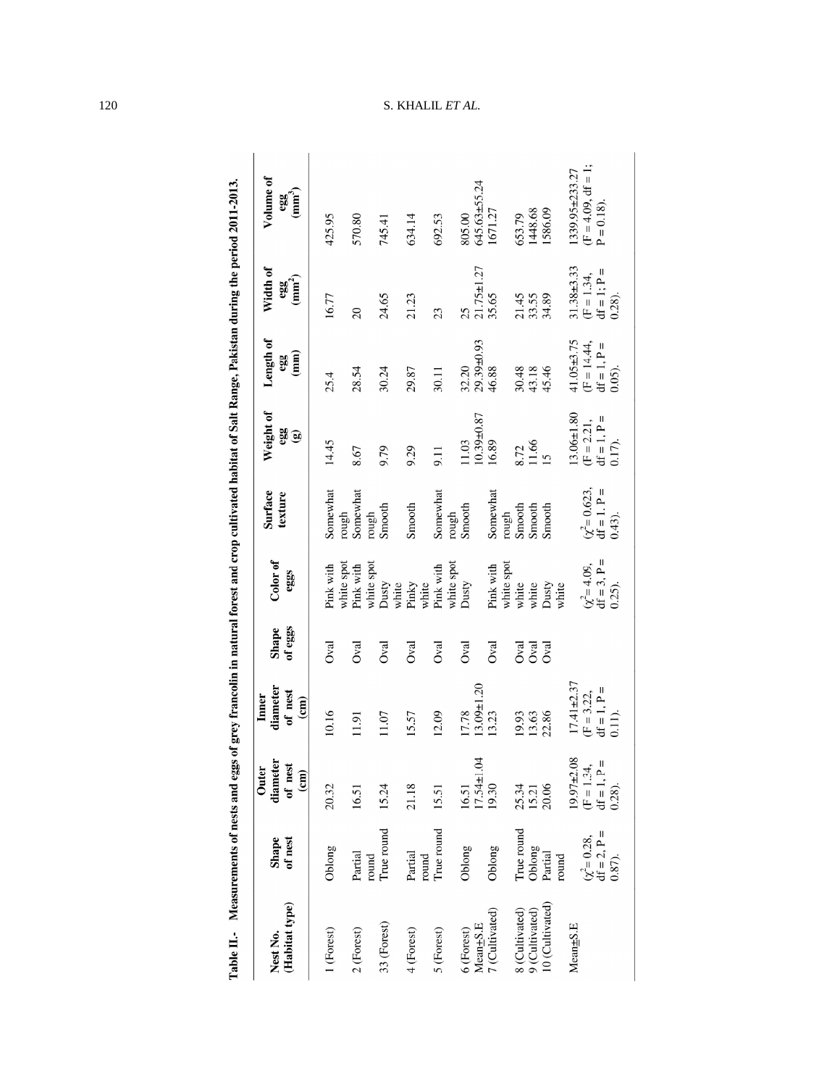| Nest No.                          | Shape                                                   | diameter<br>Outer                                            | diameter<br>Inner                                            | Shape<br>of eggs           | Color of                                            | <b>Surface</b><br>texture                 | Weight of                                                 | Length of                                                       | Width of                                                       | Volume of                                                  |
|-----------------------------------|---------------------------------------------------------|--------------------------------------------------------------|--------------------------------------------------------------|----------------------------|-----------------------------------------------------|-------------------------------------------|-----------------------------------------------------------|-----------------------------------------------------------------|----------------------------------------------------------------|------------------------------------------------------------|
| (Habitat type)                    | of nest                                                 | of nest<br>$\binom{cm}{2}$                                   | of nest<br>$\epsilon$                                        |                            | eggs                                                |                                           | a<br>Se                                                   | egg<br>(mm)                                                     | egg<br>(mm <sup>2</sup> )                                      |                                                            |
| 1 (Forest)                        | Oblong                                                  | 20.32                                                        | 10.16                                                        | Oval                       | Pink with<br>white spot                             | Somewhat                                  | 14.45                                                     | 25.4                                                            | 16.77                                                          | 425.95                                                     |
| 2 (Forest)                        | Partial                                                 | 16.51                                                        | 11.91                                                        | Oval                       | Pink with                                           | rough<br>Somewhat                         | 8.67                                                      | 28.54                                                           | $\Omega$                                                       | 570.80                                                     |
| 33 (Forest)                       | True round<br>round                                     | 15.24                                                        | 11.07                                                        | Oval                       | white spot<br>Dusty                                 | rough<br>Smooth                           | 9.79                                                      | 30.24                                                           | 24.65                                                          | 745.41                                                     |
| 4 (Forest)                        | Partial                                                 | 21.18                                                        | 15.57                                                        | Oval                       | Pinky<br>white<br>white                             | Smooth                                    | 9.29                                                      | 29.87                                                           | 21.23                                                          | 634.14                                                     |
| 5 (Forest)                        | True round<br>round                                     | 15.51                                                        | 12.09                                                        | Oval                       | Pink with                                           | Somewhat                                  | $\overline{5}$                                            | 30.11                                                           | 23                                                             | 692.53                                                     |
| Mean+S.E<br>6 (Forest)            | Oblong                                                  | $16.51$<br>17.54±1.04                                        | $13.09 \pm 1.20$<br>17.78                                    | Oval                       | white spot<br>Dusty                                 | Smooth<br>rough                           | $10.39 + 0.87$<br>11.03                                   | $32.20$<br>$29.39\pm0.93$                                       | $21.75 \pm 1.27$<br>25                                         | 805.00<br>645.63±55.24                                     |
| 7 (Cultivated)                    | Oblong                                                  | 19.30                                                        | 13.23                                                        | Oval                       | Pink with                                           | Somewhat                                  | 16.89                                                     | 46.88                                                           | 35.65                                                          | 1671.27                                                    |
| 8 (Cultivated)                    | True round                                              |                                                              | 19.93                                                        |                            | white spot<br>white                                 | rough<br>Smooth                           |                                                           | 30.48                                                           |                                                                |                                                            |
| 10 (Cultivated)<br>9 (Cultivated) | Oblong<br>Partial                                       | 25.34<br>15.21<br>20.06                                      | 22.86<br>13.63                                               | <b>B</b><br>B<br>B<br>Oval | Dusty<br>white                                      | Smooth<br>Smooth                          | 8.72<br>11.66<br>15                                       | 43.18<br>45.46                                                  | 21.45<br>33.55<br>34.89                                        | 653.79<br>1448.68<br>1586.09                               |
| $Mean \pm S.E$                    | $df = 2, P =$<br>$(\chi^2 = 0.28,$<br>round<br>$0.87$ . | $19.97 + 2.08$<br>$(F = 1.34,$<br>$df = 1, P =$<br>$0.28$ ). | $7.41 \pm 2.37$<br>$df = 1, P =$<br>$(F = 3.22,$<br>$0.11$ . |                            | $(\chi^2 = 4.09,$<br>df = 3, P =<br>0.25).<br>white | $\chi^2 = 0.623,$<br>df = 1. $P = 0.43$ . | $13.06 \pm 1.80$<br>$(F = 2.21,$<br>df = 1, P =<br>0.17). | $41.05 \pm 3.75$<br>$(F = 14.44,$<br>$df = 1, P =$<br>$0.05$ ). | $31.38 + 3.33$<br>$df = 1$ ; $P =$<br>$(F = 1.34,$<br>$0.28$ . | $(F = 4.09, df = 1;$<br>$1339.95 \pm 233.27$<br>$P = 0.18$ |

Table II. Measurements of nests and eggs of grey francolin in natural forest and crop cultivated habitat of Salt Range, Pakistan during the period 2011-2013.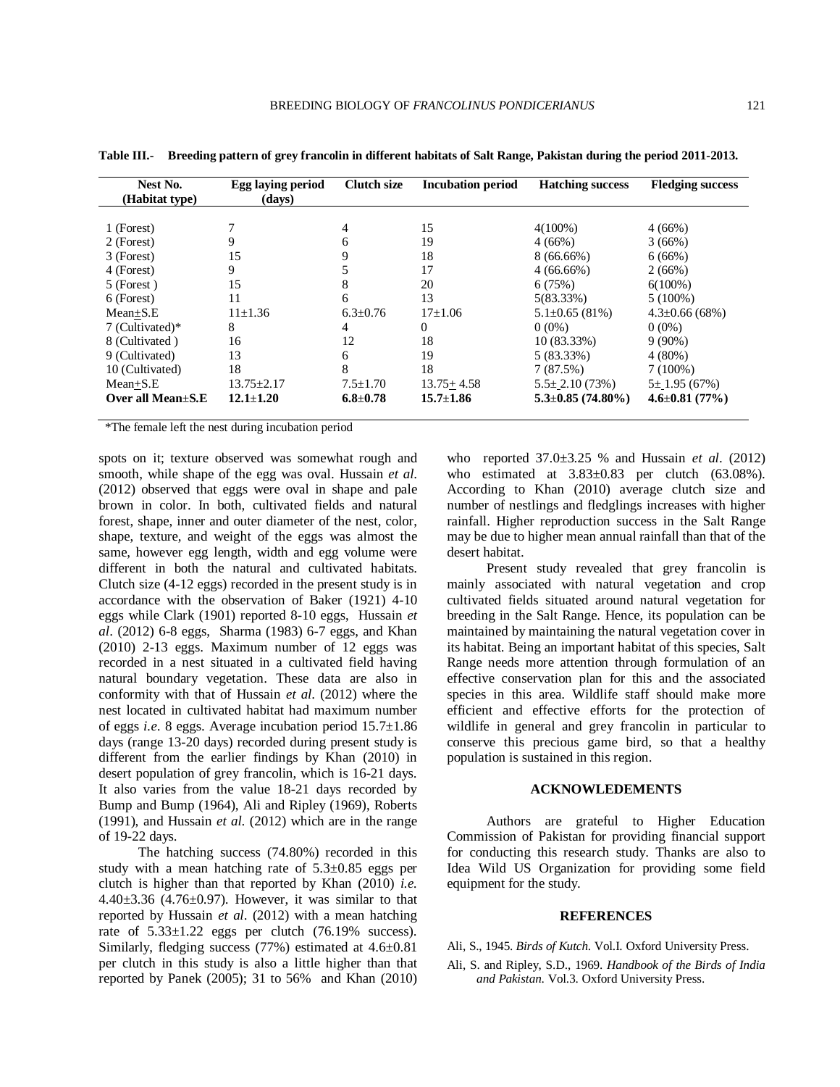| Nest No.<br>(Habitat type) | Egg laying period<br>(days) | <b>Clutch size</b> | <b>Incubation period</b> | <b>Hatching success</b> | <b>Fledging success</b> |
|----------------------------|-----------------------------|--------------------|--------------------------|-------------------------|-------------------------|
|                            |                             |                    |                          |                         |                         |
| 1 (Forest)                 |                             | 4                  | 15                       | $4(100\%)$              | 4(66%)                  |
| 2 (Forest)                 | 9                           | 6                  | 19                       | 4(66%)                  | 3(66%)                  |
| 3 (Forest)                 | 15                          | 9                  | 18                       | $8(66.66\%)$            | 6(66%)                  |
| 4 (Forest)                 | 9                           |                    | 17                       | $4(66.66\%)$            | 2(66%)                  |
| 5 (Forest)                 | 15                          | 8                  | 20                       | 6(75%)                  | $6(100\%)$              |
| 6 (Forest)                 | 11                          | 6                  | 13                       | $5(83.33\%)$            | $5(100\%)$              |
| $Mean \pm S.E$             | $11\pm 1.36$                | $6.3 \pm 0.76$     | $17\pm1.06$              | $5.1\pm0.65(81\%)$      | $4.3 \pm 0.66(68\%)$    |
| 7 (Cultivated)*            | 8                           | 4                  | 0                        | $0(0\%)$                | $0(0\%)$                |
| 8 (Cultivated)             | 16                          | 12                 | 18                       | $10(83.33\%)$           | $9(90\%)$               |
| 9 (Cultivated)             | 13                          | 6                  | 19                       | $5(83.33\%)$            | $4(80\%)$               |
| 10 (Cultivated)            | 18                          | 8                  | 18                       | 7(87.5%)                | $7(100\%)$              |
| $Mean + S.E$               | $13.75 \pm 2.17$            | $7.5 \pm 1.70$     | $13.75 + 4.58$           | $5.5 \pm 2.10(73%)$     | $5 \pm 1.95(67%)$       |
| Over all Mean $+S.E$       | $12.1 + 1.20$               | $6.8 \pm 0.78$     | $15.7 \pm 1.86$          | $5.3 \pm 0.85$ (74.80%) | $4.6 \pm 0.81$ (77%)    |

**Table III.- Breeding pattern of grey francolin in different habitats of Salt Range, Pakistan during the period 2011-2013.**

\*The female left the nest during incubation period

spots on it; texture observed was somewhat rough and smooth, while shape of the egg was oval. Hussain *et al*. (2012) observed that eggs were oval in shape and pale brown in color. In both, cultivated fields and natural forest, shape, inner and outer diameter of the nest, color, shape, texture, and weight of the eggs was almost the same, however egg length, width and egg volume were different in both the natural and cultivated habitats. Clutch size (4-12 eggs) recorded in the present study is in accordance with the observation of Baker (1921) 4-10 eggs while Clark (1901) reported 8-10 eggs, Hussain *et al*. (2012) 6-8 eggs, Sharma (1983) 6-7 eggs, and Khan (2010) 2-13 eggs. Maximum number of 12 eggs was recorded in a nest situated in a cultivated field having natural boundary vegetation. These data are also in conformity with that of Hussain *et al*. (2012) where the nest located in cultivated habitat had maximum number of eggs *i.e.* 8 eggs. Average incubation period 15.7±1.86 days (range 13-20 days) recorded during present study is different from the earlier findings by Khan (2010) in desert population of grey francolin, which is 16-21 days. It also varies from the value 18-21 days recorded by Bump and Bump (1964), Ali and Ripley (1969), Roberts (1991), and Hussain *et al*. (2012) which are in the range of 19-22 days.

The hatching success (74.80%) recorded in this study with a mean hatching rate of 5.3±0.85 eggs per clutch is higher than that reported by Khan (2010) *i.e.* 4.40 $\pm$ 3.36 (4.76 $\pm$ 0.97). However, it was similar to that reported by Hussain *et al*. (2012) with a mean hatching rate of  $5.33\pm1.22$  eggs per clutch  $(76.19\%$  success). Similarly, fledging success (77%) estimated at 4.6±0.81 per clutch in this study is also a little higher than that reported by Panek (2005); 31 to 56% and Khan (2010) who reported 37.0±3.25 % and Hussain *et al*. (2012) who estimated at  $3.83\pm0.83$  per clutch (63.08%). According to Khan (2010) average clutch size and number of nestlings and fledglings increases with higher rainfall. Higher reproduction success in the Salt Range may be due to higher mean annual rainfall than that of the desert habitat.

Present study revealed that grey francolin is mainly associated with natural vegetation and crop cultivated fields situated around natural vegetation for breeding in the Salt Range. Hence, its population can be maintained by maintaining the natural vegetation cover in its habitat. Being an important habitat of this species, Salt Range needs more attention through formulation of an effective conservation plan for this and the associated species in this area. Wildlife staff should make more efficient and effective efforts for the protection of wildlife in general and grey francolin in particular to conserve this precious game bird, so that a healthy population is sustained in this region.

#### **ACKNOWLEDEMENTS**

Authors are grateful to Higher Education Commission of Pakistan for providing financial support for conducting this research study. Thanks are also to Idea Wild US Organization for providing some field equipment for the study.

#### **REFERENCES**

Ali, S., 1945. *Birds of Kutch*. Vol.I. Oxford University Press.

Ali, S. and Ripley, S.D., 1969. *Handbook of the Birds of India and Pakistan*. Vol.3. Oxford University Press.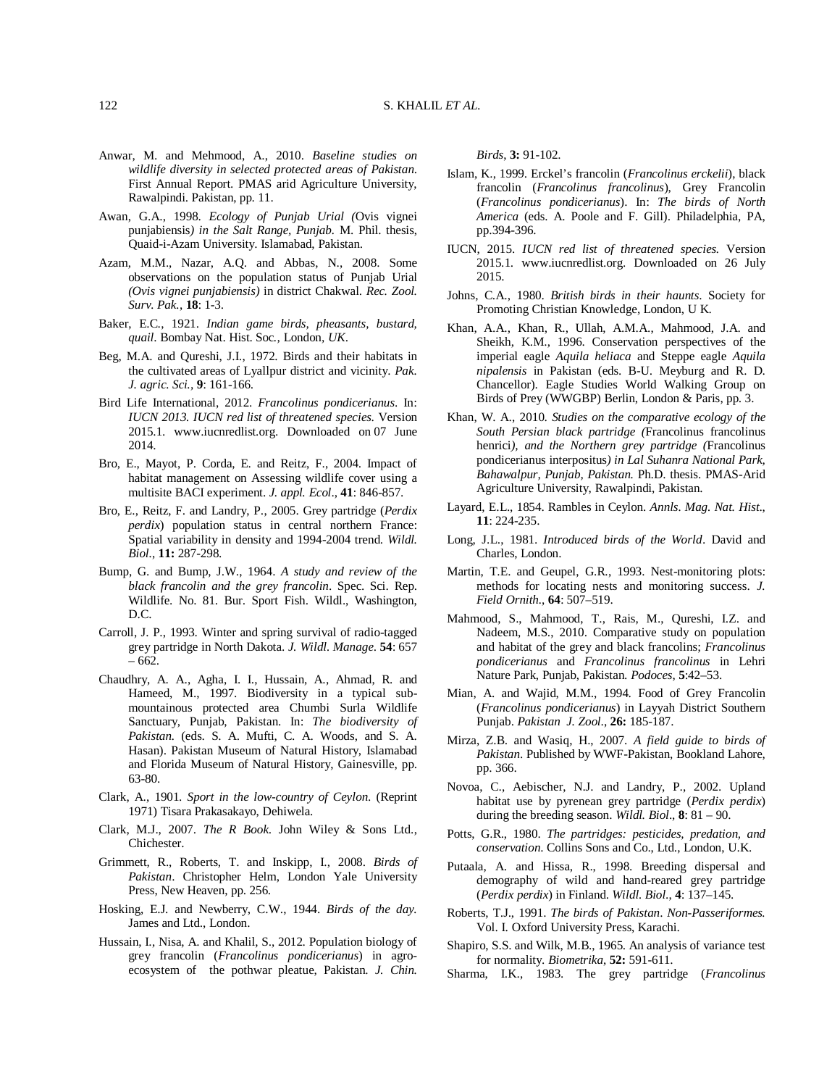- Anwar, M. and Mehmood, A., 2010. *Baseline studies on wildlife diversity in selected protected areas of Pakistan*. First Annual Report. PMAS arid Agriculture University, Rawalpindi. Pakistan, pp. 11.
- Awan, G.A., 1998. *Ecology of Punjab Urial (*Ovis vignei punjabiensis*) in the Salt Range, Punjab.* M. Phil. thesis, Quaid-i-Azam University. Islamabad, Pakistan.
- Azam, M.M., Nazar, A.Q. and Abbas, N., 2008. Some observations on the population status of Punjab Urial *(Ovis vignei punjabiensis)* in district Chakwal. *Rec. Zool. Surv. Pak.*, **18**: 1-3.
- Baker, E.C., 1921. *Indian game birds, pheasants, bustard, quail*. Bombay Nat. Hist. Soc*.,* London*, UK*.
- Beg, M.A. and Qureshi, J.I., 1972. Birds and their habitats in the cultivated areas of Lyallpur district and vicinity. *Pak. J. agric. Sci.,* **9**: 161-166.
- Bird Life International, 2012. *Francolinus pondicerianus*. In: *IUCN 2013. IUCN red list of threatened species*. Version 2015.1. www.iucnredlist.org. Downloaded on 07 June 2014.
- Bro, E., Mayot, P. Corda, E. and Reitz, F., 2004. Impact of habitat management on Assessing wildlife cover using a multisite BACI experiment. *J. appl. Ecol*., **41**: 846-857.
- Bro, E., Reitz, F. and Landry, P., 2005. Grey partridge (*Perdix perdix*) population status in central northern France: Spatial variability in density and 1994-2004 trend. *Wildl. Biol.*, **11:** 287-298.
- Bump, G. and Bump, J.W., 1964. *A study and review of the black francolin and the grey francolin*. Spec. Sci. Rep. Wildlife. No. 81. Bur. Sport Fish. Wildl., Washington, D.C.
- Carroll, J. P., 1993. Winter and spring survival of radio-tagged grey partridge in North Dakota. *J. Wildl. Manage*. **54**: 657 – 662.
- Chaudhry, A. A., Agha, I. I., Hussain, A., Ahmad, R. and Hameed, M., 1997. Biodiversity in a typical submountainous protected area Chumbi Surla Wildlife Sanctuary, Punjab, Pakistan. In: *The biodiversity of Pakistan.* (eds. S. A. Mufti, C. A. Woods, and S. A. Hasan). Pakistan Museum of Natural History, Islamabad and Florida Museum of Natural History, Gainesville, pp. 63-80.
- Clark, A., 1901. *Sport in the low-country of Ceylon*. (Reprint 1971) Tisara Prakasakayo, Dehiwela.
- Clark, M.J., 2007. *The R Book*. John Wiley & Sons Ltd., Chichester.
- Grimmett, R., Roberts, T. and Inskipp, I., 2008. *Birds of Pakistan*. Christopher Helm, London Yale University Press, New Heaven, pp. 256.
- Hosking, E.J. and Newberry, C.W., 1944. *Birds of the day.* James and Ltd., London.
- Hussain, I., Nisa, A. and Khalil, S., 2012. Population biology of grey francolin (*Francolinus pondicerianus*) in agroecosystem of the pothwar pleatue, Pakistan. *J. Chin.*

*Birds*, **3:** 91-102.

- Islam, K., 1999. Erckel's francolin (*Francolinus erckelii*), black francolin (*Francolinus francolinus*), Grey Francolin (*Francolinus pondicerianus*). In: *The birds of North America* (eds. A. Poole and F. Gill). Philadelphia, PA, pp.394-396.
- IUCN, 2015. *IUCN red list of threatened species.* Version 2015.1. www.iucnredlist.org. Downloaded on 26 July 2015.
- Johns, C.A., 1980. *British birds in their haunts*. Society for Promoting Christian Knowledge, London, U K.
- Khan, A.A., Khan, R., Ullah, A.M.A., Mahmood, J.A. and Sheikh, K.M., 1996. Conservation perspectives of the imperial eagle *Aquila heliaca* and Steppe eagle *Aquila nipalensis* in Pakistan (eds. B-U. Meyburg and R. D. Chancellor). Eagle Studies World Walking Group on Birds of Prey (WWGBP) Berlin, London & Paris, pp. 3.
- Khan, W. A., 2010. *Studies on the comparative ecology of the South Persian black partridge (*Francolinus francolinus henrici*), and the Northern grey partridge (*Francolinus pondicerianus interpositus*) in Lal Suhanra National Park, Bahawalpur, Punjab, Pakistan.* Ph.D. thesis. PMAS-Arid Agriculture University, Rawalpindi, Pakistan.
- Layard, E.L., 1854. Rambles in Ceylon. *Annls. Mag. Nat. Hist*., **11**: 224-235.
- Long, J.L., 1981. *Introduced birds of the World*. David and Charles, London.
- Martin, T.E. and Geupel, G.R., 1993. Nest-monitoring plots: methods for locating nests and monitoring success. *J. Field Ornith.*, **64**: 507–519.
- Mahmood, S., Mahmood, T., Rais, M., Qureshi, I.Z. and Nadeem, M.S., 2010. Comparative study on population and habitat of the grey and black francolins; *Francolinus pondicerianus* and *Francolinus francolinus* in Lehri Nature Park, Punjab, Pakistan. *Podoces*, **5**:42–53.
- Mian, A. and Wajid, M.M., 1994. Food of Grey Francolin (*Francolinus pondicerianus*) in Layyah District Southern Punjab. *Pakistan J. Zool*., **26:** 185-187.
- Mirza, Z.B. and Wasiq, H., 2007. *A field guide to birds of Pakistan*. Published by WWF-Pakistan, Bookland Lahore, pp. 366.
- Novoa, C., Aebischer, N.J. and Landry, P., 2002. Upland habitat use by pyrenean grey partridge (*Perdix perdix*) during the breeding season. *Wildl. Biol*., **8**: 81 – 90.
- Potts, G.R., 1980. *The partridges: pesticides, predation, and conservation*. Collins Sons and Co., Ltd., London, U.K.
- Putaala, A. and Hissa, R., 1998. Breeding dispersal and demography of wild and hand-reared grey partridge (*Perdix perdix*) in Finland. *Wildl. Biol*., **4**: 137–145.
- Roberts, T.J., 1991. *The birds of Pakistan*. *Non-Passeriformes.* Vol. I. Oxford University Press, Karachi.
- Shapiro, S.S. and Wilk, M.B., 1965. An analysis of variance test for normality. *Biometrika*, **52:** 591-611.
- Sharma, I.K., 1983. The grey partridge (*Francolinus*